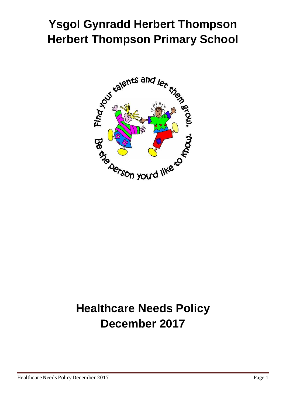# **Ysgol Gynradd Herbert Thompson Herbert Thompson Primary School**



# **Healthcare Needs Policy December 2017**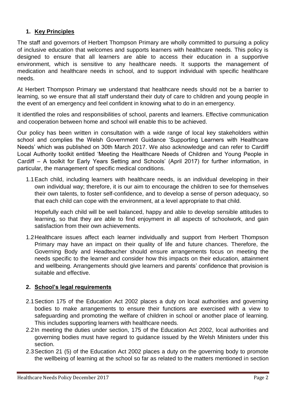# **1. Key Principles**

The staff and governors of Herbert Thompson Primary are wholly committed to pursuing a policy of inclusive education that welcomes and supports learners with healthcare needs. This policy is designed to ensure that all learners are able to access their education in a supportive environment, which is sensitive to any healthcare needs. It supports the management of medication and healthcare needs in school, and to support individual with specific healthcare needs.

At Herbert Thompson Primary we understand that healthcare needs should not be a barrier to learning, so we ensure that all staff understand their duty of care to children and young people in the event of an emergency and feel confident in knowing what to do in an emergency.

It identified the roles and responsibilities of school, parents and learners. Effective communication and cooperation between home and school will enable this to be achieved.

Our policy has been written in consultation with a wide range of local key stakeholders within school and complies the Welsh Government Guidance 'Supporting Learners with Healthcare Needs' which was published on 30th March 2017. We also acknowledge and can refer to Cardiff Local Authority toolkit entitled 'Meeting the Healthcare Needs of Children and Young People in Cardiff – A toolkit for Early Years Setting and Schools' (April 2017) for further information, in particular, the management of specific medical conditions.

1.1Each child, including learners with healthcare needs, is an individual developing in their own individual way; therefore, it is our aim to encourage the children to see for themselves their own talents, to foster self-confidence, and to develop a sense of person adequacy, so that each child can cope with the environment, at a level appropriate to that child.

Hopefully each child will be well balanced, happy and able to develop sensible attitudes to learning, so that they are able to find enjoyment in all aspects of schoolwork, and gain satisfaction from their own achievements.

1.2Healthcare issues affect each learner individually and support from Herbert Thompson Primary may have an impact on their quality of life and future chances. Therefore, the Governing Body and Headteacher should ensure arrangements focus on meeting the needs specific to the learner and consider how this impacts on their education, attainment and wellbeing. Arrangements should give learners and parents' confidence that provision is suitable and effective.

## **2. School's legal requirements**

- 2.1Section 175 of the Education Act 2002 places a duty on local authorities and governing bodies to make arrangements to ensure their functions are exercised with a view to safeguarding and promoting the welfare of children in school or another place of learning. This includes supporting learners with healthcare needs.
- 2.2In meeting the duties under section, 175 of the Education Act 2002, local authorities and governing bodies must have regard to guidance issued by the Welsh Ministers under this section.
- 2.3Section 21 (5) of the Education Act 2002 places a duty on the governing body to promote the wellbeing of learning at the school so far as related to the matters mentioned in section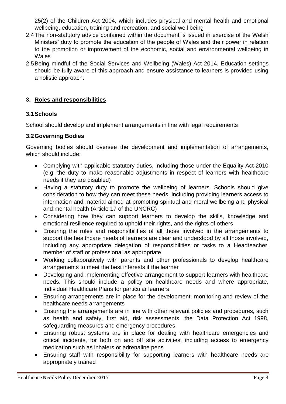25(2) of the Children Act 2004, which includes physical and mental health and emotional wellbeing, education, training and recreation, and social well being

- 2.4The non-statutory advice contained within the document is issued in exercise of the Welsh Ministers' duty to promote the education of the people of Wales and their power in relation to the promotion or improvement of the economic, social and environmental wellbeing in Wales
- 2.5Being mindful of the Social Services and Wellbeing (Wales) Act 2014. Education settings should be fully aware of this approach and ensure assistance to learners is provided using a holistic approach.

# **3. Roles and responsibilities**

## **3.1Schools**

School should develop and implement arrangements in line with legal requirements

## **3.2Governing Bodies**

Governing bodies should oversee the development and implementation of arrangements, which should include:

- Complying with applicable statutory duties, including those under the Equality Act 2010 (e.g. the duty to make reasonable adjustments in respect of learners with healthcare needs if they are disabled)
- Having a statutory duty to promote the wellbeing of learners. Schools should give consideration to how they can meet these needs, including providing learners access to information and material aimed at promoting spiritual and moral wellbeing and physical and mental health (Article 17 of the UNCRC)
- Considering how they can support learners to develop the skills, knowledge and emotional resilience required to uphold their rights, and the rights of others
- Ensuring the roles and responsibilities of all those involved in the arrangements to support the healthcare needs of learners are clear and understood by all those involved, including any appropriate delegation of responsibilities or tasks to a Headteacher, member of staff or professional as appropriate
- Working collaboratively with parents and other professionals to develop healthcare arrangements to meet the best interests if the learner
- Developing and implementing effective arrangement to support learners with healthcare needs. This should include a policy on healthcare needs and where appropriate, Individual Healthcare Plans for particular learners
- Ensuring arrangements are in place for the development, monitoring and review of the healthcare needs arrangements
- Ensuring the arrangements are in line with other relevant policies and procedures, such as health and safety, first aid, risk assessments, the Data Protection Act 1998, safeguarding measures and emergency procedures
- Ensuring robust systems are in place for dealing with healthcare emergencies and critical incidents, for both on and off site activities, including access to emergency medication such as inhalers or adrenaline pens
- Ensuring staff with responsibility for supporting learners with healthcare needs are appropriately trained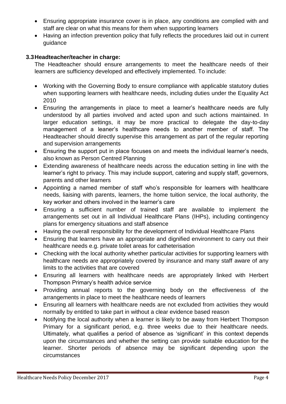- Ensuring appropriate insurance cover is in place, any conditions are complied with and staff are clear on what this means for them when supporting learners
- Having an infection prevention policy that fully reflects the procedures laid out in current guidance

## **3.3Headteacher/teacher in charge:**

The Headteacher should ensure arrangements to meet the healthcare needs of their learners are sufficiency developed and effectively implemented. To include:

- Working with the Governing Body to ensure compliance with applicable statutory duties when supporting learners with healthcare needs, including duties under the Equality Act 2010
- Ensuring the arrangements in place to meet a learner's healthcare needs are fully understood by all parties involved and acted upon and such actions maintained. In larger education settings, it may be more practical to delegate the day-to-day management of a leaner's healthcare needs to another member of staff. The Headteacher should directly supervise this arrangement as part of the regular reporting and supervision arrangements
- Ensuring the support put in place focuses on and meets the individual learner's needs, also known as Person Centred Planning
- Extending awareness of healthcare needs across the education setting in line with the learner's right to privacy. This may include support, catering and supply staff, governors, parents and other learners
- Appointing a named member of staff who's responsible for learners with healthcare needs, liaising with parents, learners, the home tuition service, the local authority, the key worker and others involved in the learner's care
- Ensuring a sufficient number of trained staff are available to implement the arrangements set out in all Individual Healthcare Plans (IHPs), including contingency plans for emergency situations and staff absence
- Having the overall responsibility for the development of Individual Healthcare Plans
- Ensuring that learners have an appropriate and dignified environment to carry out their healthcare needs e.g. private toilet areas for catheterisation
- Checking with the local authority whether particular activities for supporting learners with healthcare needs are appropriately covered by insurance and many staff aware of any limits to the activities that are covered
- Ensuring all learners with healthcare needs are appropriately linked with Herbert Thompson Primary's health advice service
- Providing annual reports to the governing body on the effectiveness of the arrangements in place to meet the healthcare needs of learners
- Ensuring all learners with healthcare needs are not excluded from activities they would normally by entitled to take part in without a clear evidence based reason
- Notifying the local authority when a learner is likely to be away from Herbert Thompson Primary for a significant period, e.g. three weeks due to their healthcare needs. Ultimately, what qualifies a period of absence as 'significant' in this context depends upon the circumstances and whether the setting can provide suitable education for the learner. Shorter periods of absence may be significant depending upon the circumstances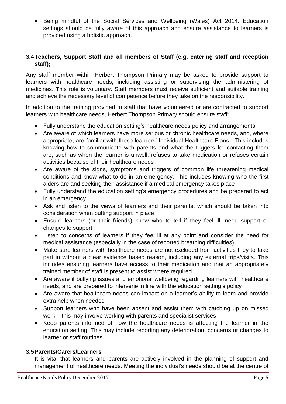• Being mindful of the Social Services and Wellbeing (Wales) Act 2014. Education settings should be fully aware of this approach and ensure assistance to learners is provided using a holistic approach.

## **3.4Teachers, Support Staff and all members of Staff (e.g. catering staff and reception staff);**

Any staff member within Herbert Thompson Primary may be asked to provide support to learners with healthcare needs, including assisting or supervising the administering of medicines. This role is voluntary. Staff members must receive sufficient and suitable training and achieve the necessary level of competence before they take on the responsibility.

In addition to the training provided to staff that have volunteered or are contracted to support learners with healthcare needs, Herbert Thompson Primary should ensure staff:

- Fully understand the education setting's healthcare needs policy and arrangements
- Are aware of which learners have more serious or chronic healthcare needs, and, where appropriate, are familiar with these learners' Individual Healthcare Plans . This includes knowing how to communicate with parents and what the triggers for contacting them are, such as when the learner is unwell, refuses to take medication or refuses certain activities because of their healthcare needs
- Are aware of the signs, symptoms and triggers of common life threatening medical conditions and know what to do in an emergency. This includes knowing who the first aiders are and seeking their assistance if a medical emergency takes place
- Fully understand the education setting's emergency procedures and be prepared to act in an emergency
- Ask and listen to the views of learners and their parents, which should be taken into consideration when putting support in place
- Ensure learners (or their friends) know who to tell if they feel ill, need support or changes to support
- Listen to concerns of learners if they feel ill at any point and consider the need for medical assistance (especially in the case of reported breathing difficulties)
- Make sure learners with healthcare needs are not excluded from activities they to take part in without a clear evidence based reason, including any external trips/visits. This includes ensuring learners have access to their medication and that an appropriately trained member of staff is present to assist where required
- Are aware if bullying issues and emotional wellbeing regarding learners with healthcare needs, and are prepared to intervene in line with the education setting's policy
- Are aware that healthcare needs can impact on a learner's ability to learn and provide extra help when needed
- Support learners who have been absent and assist them with catching up on missed work – this may involve working with parents and specialist services
- Keep parents informed of how the healthcare needs is affecting the learner in the education setting. This may include reporting any deterioration, concerns or changes to learner or staff routines.

## **3.5Parents/Carers/Learners**

It is vital that learners and parents are actively involved in the planning of support and management of healthcare needs. Meeting the individual's needs should be at the centre of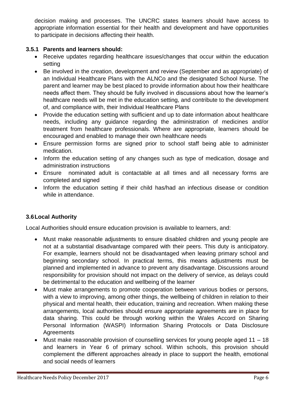decision making and processes. The UNCRC states learners should have access to appropriate information essential for their health and development and have opportunities to participate in decisions affecting their health.

## **3.5.1 Parents and learners should:**

- Receive updates regarding healthcare issues/changes that occur within the education setting
- Be involved in the creation, development and review (September and as appropriate) of an Individual Healthcare Plans with the ALNCo and the designated School Nurse. The parent and learner may be best placed to provide information about how their healthcare needs affect them. They should be fully involved in discussions about how the learner's healthcare needs will be met in the education setting, and contribute to the development of, and compliance with, their Individual Healthcare Plans
- Provide the education setting with sufficient and up to date information about healthcare needs, including any guidance regarding the administration of medicines and/or treatment from healthcare professionals. Where are appropriate, learners should be encouraged and enabled to manage their own healthcare needs
- Ensure permission forms are signed prior to school staff being able to administer medication.
- Inform the education setting of any changes such as type of medication, dosage and administration instructions
- Ensure nominated adult is contactable at all times and all necessary forms are completed and signed
- Inform the education setting if their child has/had an infectious disease or condition while in attendance.

# **3.6Local Authority**

Local Authorities should ensure education provision is available to learners, and:

- Must make reasonable adjustments to ensure disabled children and young people are not at a substantial disadvantage compared with their peers. This duty is anticipatory. For example, learners should not be disadvantaged when leaving primary school and beginning secondary school. In practical terms, this means adjustments must be planned and implemented in advance to prevent any disadvantage. Discussions around responsibility for provision should not impact on the delivery of service, as delays could be detrimental to the education and wellbeing of the learner
- Must make arrangements to promote cooperation between various bodies or persons, with a view to improving, among other things, the wellbeing of children in relation to their physical and mental health, their education, training and recreation. When making these arrangements, local authorities should ensure appropriate agreements are in place for data sharing. This could be through working within the Wales Accord on Sharing Personal Information (WASPI) Information Sharing Protocols or Data Disclosure **Agreements**
- Must make reasonable provision of counselling services for young people aged 11 18 and learners in Year 6 of primary school. Within schools, this provision should complement the different approaches already in place to support the health, emotional and social needs of learners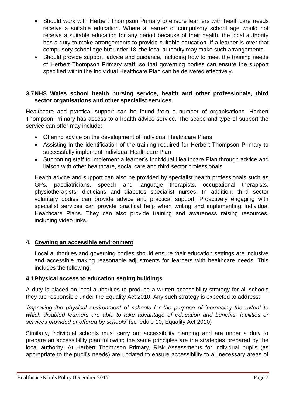- Should work with Herbert Thompson Primary to ensure learners with healthcare needs receive a suitable education. Where a learner of compulsory school age would not receive a suitable education for any period because of their health, the local authority has a duty to make arrangements to provide suitable education. If a learner is over that compulsory school age but under 18, the local authority may make such arrangements
- Should provide support, advice and quidance, including how to meet the training needs of Herbert Thompson Primary staff, so that governing bodies can ensure the support specified within the Individual Healthcare Plan can be delivered effectively.

## **3.7NHS Wales school health nursing service, health and other professionals, third sector organisations and other specialist services**

Healthcare and practical support can be found from a number of organisations. Herbert Thompson Primary has access to a health advice service. The scope and type of support the service can offer may include:

- Offering advice on the development of Individual Healthcare Plans
- Assisting in the identification of the training required for Herbert Thompson Primary to successfully implement Individual Healthcare Plan
- Supporting staff to implement a learner's Individual Healthcare Plan through advice and liaison with other healthcare, social care and third sector professionals

Health advice and support can also be provided by specialist health professionals such as GPs, paediatricians, speech and language therapists, occupational therapists, physiotherapists, dieticians and diabetes specialist nurses. In addition, third sector voluntary bodies can provide advice and practical support. Proactively engaging with specialist services can provide practical help when writing and implementing Individual Healthcare Plans. They can also provide training and awareness raising resources, including video links.

## **4. Creating an accessible environment**

Local authorities and governing bodies should ensure their education settings are inclusive and accessible making reasonable adjustments for learners with healthcare needs. This includes the following:

## **4.1Physical access to education setting buildings**

A duty is placed on local authorities to produce a written accessibility strategy for all schools they are responsible under the Equality Act 2010. Any such strategy is expected to address:

*'improving the physical environment of schools for the purpose of increasing the extent to which disabled learners are able to take advantage of education and benefits, facilities or services provided or offered by schools'* (schedule 10, Equality Act 2010)

Similarly, individual schools must carry out accessibility planning and are under a duty to prepare an accessibility plan following the same principles are the strategies prepared by the local authority. At Herbert Thompson Primary, Risk Assessments for individual pupils (as appropriate to the pupil's needs) are updated to ensure accessibility to all necessary areas of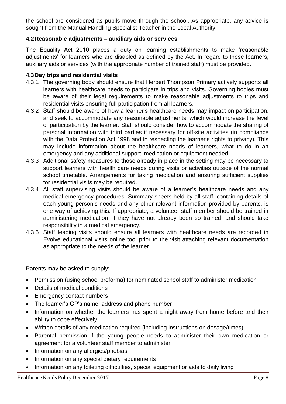the school are considered as pupils move through the school. As appropriate, any advice is sought from the Manual Handling Specialist Teacher in the Local Authority.

## **4.2Reasonable adjustments – auxiliary aids or services**

The Equality Act 2010 places a duty on learning establishments to make 'reasonable adjustments' for learners who are disabled as defined by the Act. In regard to these learners, auxiliary aids or services (with the appropriate number of trained staff) must be provided.

## **4.3Day trips and residential visits**

- 4.3.1 The governing body should ensure that Herbert Thompson Primary actively supports all learners with healthcare needs to participate in trips and visits. Governing bodies must be aware of their legal requirements to make reasonable adjustments to trips and residential visits ensuring full participation from all learners.
- 4.3.2 Staff should be aware of how a learner's healthcare needs may impact on participation, and seek to accommodate any reasonable adjustments, which would increase the level of participation by the learner. Staff should consider how to accommodate the sharing of personal information with third parties if necessary for off-site activities (in compliance with the Data Protection Act 1998 and in respecting the learner's rights to privacy). This may include information about the healthcare needs of learners, what to do in an emergency and any additional support, medication or equipment needed.
- 4.3.3 Additional safety measures to those already in place in the setting may be necessary to support learners with health care needs during visits or activities outside of the normal school timetable. Arrangements for taking medication and ensuring sufficient supplies for residential visits may be required.
- 4.3.4 All staff supervising visits should be aware of a learner's healthcare needs and any medical emergency procedures. Summary sheets held by all staff, containing details of each young person's needs and any other relevant information provided by parents, is one way of achieving this. If appropriate, a volunteer staff member should be trained in administering medication, if they have not already been so trained, and should take responsibility in a medical emergency.
- 4.3.5 Staff leading visits should ensure all learners with healthcare needs are recorded in Evolve educational visits online tool prior to the visit attaching relevant documentation as appropriate to the needs of the learner

Parents may be asked to supply:

- Permission (using school proforma) for nominated school staff to administer medication
- Details of medical conditions
- Emergency contact numbers
- The learner's GP's name, address and phone number
- Information on whether the learners has spent a night away from home before and their ability to cope effectively
- Written details of any medication required (including instructions on dosage/times)
- Parental permission if the young people needs to administer their own medication or agreement for a volunteer staff member to administer
- Information on any allergies/phobias
- Information on any special dietary requirements
- Information on any toileting difficulties, special equipment or aids to daily living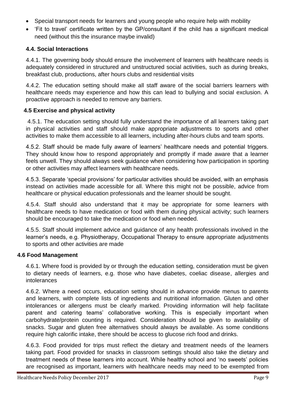- Special transport needs for learners and young people who require help with mobility
- 'Fit to travel' certificate written by the GP/consultant if the child has a significant medical need (without this the insurance maybe invalid)

## **4.4. Social Interactions**

4.4.1. The governing body should ensure the involvement of learners with healthcare needs is adequately considered in structured and unstructured social activities, such as during breaks, breakfast club, productions, after hours clubs and residential visits

4.4.2. The education setting should make all staff aware of the social barriers learners with healthcare needs may experience and how this can lead to bullying and social exclusion. A proactive approach is needed to remove any barriers.

## **4.5 Exercise and physical activity**

4.5.1. The education setting should fully understand the importance of all learners taking part in physical activities and staff should make appropriate adjustments to sports and other activities to make them accessible to all learners, including after-hours clubs and team sports.

4.5.2. Staff should be made fully aware of learners' healthcare needs and potential triggers. They should know how to respond appropriately and promptly if made aware that a learner feels unwell. They should always seek guidance when considering how participation in sporting or other activities may affect learners with healthcare needs.

4.5.3. Separate 'special provisions' for particular activities should be avoided, with an emphasis instead on activities made accessible for all. Where this might not be possible, advice from healthcare or physical education professionals and the learner should be sought.

4.5.4. Staff should also understand that it may be appropriate for some learners with healthcare needs to have medication or food with them during physical activity; such learners should be encouraged to take the medication or food when needed.

4.5.5. Staff should implement advice and guidance of any health professionals involved in the learner's needs, e.g. Physiotherapy, Occupational Therapy to ensure appropriate adjustments to sports and other activities are made

## **4.6 Food Management**

4.6.1. Where food is provided by or through the education setting, consideration must be given to dietary needs of learners, e.g. those who have diabetes, coeliac disease, allergies and intolerances

4.6.2. Where a need occurs, education setting should in advance provide menus to parents and learners, with complete lists of ingredients and nutritional information. Gluten and other intolerances or allergens must be clearly marked. Providing information will help facilitate parent and catering teams' collaborative working. This is especially important when carbohydrate/protein counting is required. Consideration should be given to availability of snacks. Sugar and gluten free alternatives should always be available. As some conditions require high calorific intake, there should be access to glucose rich food and drinks.

4.6.3. Food provided for trips must reflect the dietary and treatment needs of the learners taking part. Food provided for snacks in classroom settings should also take the dietary and treatment needs of these learners into account. While healthy school and 'no sweets' policies are recognised as important, learners with healthcare needs may need to be exempted from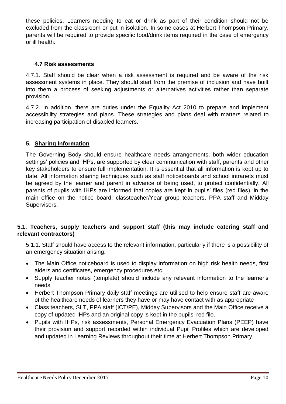these policies. Learners needing to eat or drink as part of their condition should not be excluded from the classroom or put in isolation. In some cases at Herbert Thompson Primary, parents will be required to provide specific food/drink items required in the case of emergency or ill health.

## **4.7 Risk assessments**

4.7.1. Staff should be clear when a risk assessment is required and be aware of the risk assessment systems in place. They should start from the premise of inclusion and have built into them a process of seeking adjustments or alternatives activities rather than separate provision.

4.7.2. In addition, there are duties under the Equality Act 2010 to prepare and implement accessibility strategies and plans. These strategies and plans deal with matters related to increasing participation of disabled learners.

## **5. Sharing Information**

The Governing Body should ensure healthcare needs arrangements, both wider education settings' policies and IHPs, are supported by clear communication with staff, parents and other key stakeholders to ensure full implementation. It is essential that all information is kept up to date. All information sharing techniques such as staff noticeboards and school intranets must be agreed by the learner and parent in advance of being used, to protect confidentially. All parents of pupils with IHPs are informed that copies are kept in pupils' files (red files), in the main office on the notice board, classteacher/Year group teachers, PPA staff and Midday Supervisors.

## **5.1. Teachers, supply teachers and support staff (this may include catering staff and relevant contractors)**

5.1.1. Staff should have access to the relevant information, particularly if there is a possibility of an emergency situation arising.

- The Main Office noticeboard is used to display information on high risk health needs, first aiders and certificates, emergency procedures etc.
- Supply teacher notes (template) should include any relevant information to the learner's needs
- Herbert Thompson Primary daily staff meetings are utilised to help ensure staff are aware of the healthcare needs of learners they have or may have contact with as appropriate
- Class teachers, SLT, PPA staff (ICT/PE), Midday Supervisors and the Main Office receive a copy of updated IHPs and an original copy is kept in the pupils' red file.
- Pupils with IHPs, risk assessments, Personal Emergency Evacuation Plans (PEEP) have their provision and support recorded within individual Pupil Profiles which are developed and updated in Learning Reviews throughout their time at Herbert Thompson Primary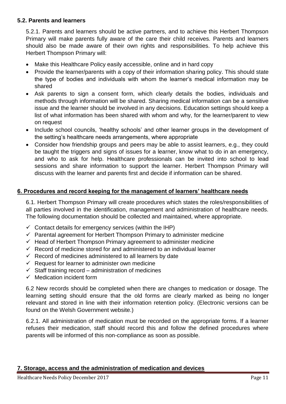#### **5.2. Parents and learners**

5.2.1. Parents and learners should be active partners, and to achieve this Herbert Thompson Primary will make parents fully aware of the care their child receives. Parents and learners should also be made aware of their own rights and responsibilities. To help achieve this Herbert Thompson Primary will:

- Make this Healthcare Policy easily accessible, online and in hard copy
- Provide the learner/parents with a copy of their information sharing policy. This should state the type of bodies and individuals with whom the learner's medical information may be shared
- Ask parents to sign a consent form, which clearly details the bodies, individuals and methods through information will be shared. Sharing medical information can be a sensitive issue and the learner should be involved in any decisions. Education settings should keep a list of what information has been shared with whom and why, for the learner/parent to view on request
- Include school councils, 'healthy schools' and other learner groups in the development of the setting's healthcare needs arrangements, where appropriate
- Consider how friendship groups and peers may be able to assist learners, e.g., they could be taught the triggers and signs of issues for a learner, know what to do in an emergency, and who to ask for help. Healthcare professionals can be invited into school to lead sessions and share information to support the learner. Herbert Thompson Primary will discuss with the learner and parents first and decide if information can be shared.

#### **6. Procedures and record keeping for the management of learners' healthcare needs**

6.1. Herbert Thompson Primary will create procedures which states the roles/responsibilities of all parties involved in the identification, management and administration of healthcare needs. The following documentation should be collected and maintained, where appropriate.

- $\checkmark$  Contact details for emergency services (within the IHP)
- $\checkmark$  Parental agreement for Herbert Thompson Primary to administer medicine
- $\checkmark$  Head of Herbert Thompson Primary agreement to administer medicine
- $\checkmark$  Record of medicine stored for and administered to an individual learner
- $\checkmark$  Record of medicines administered to all learners by date
- $\checkmark$  Request for learner to administer own medicine
- $\checkmark$  Staff training record administration of medicines
- $\checkmark$  Medication incident form

6.2 New records should be completed when there are changes to medication or dosage. The learning setting should ensure that the old forms are clearly marked as being no longer relevant and stored in line with their information retention policy. (Electronic versions can be found on the Welsh Government website.)

6.2.1. All administration of medication must be recorded on the appropriate forms. If a learner refuses their medication, staff should record this and follow the defined procedures where parents will be informed of this non-compliance as soon as possible.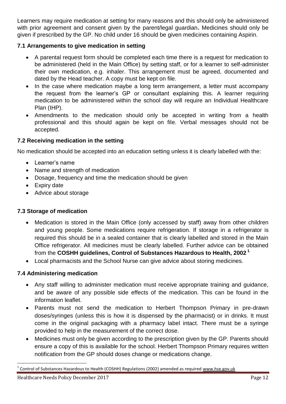Learners may require medication at setting for many reasons and this should only be administered with prior agreement and consent given by the parent/legal guardian**.** Medicines should only be given if prescribed by the GP. No child under 16 should be given medicines containing Aspirin.

## **7.1 Arrangements to give medication in setting**

- A parental request form should be completed each time there is a request for medication to be administered (held in the Main Office) by setting staff, or for a learner to self-administer their own medication, e.g. inhaler. This arrangement must be agreed, documented and dated by the Head teacher. A copy must be kept on file.
- In the case where medication maybe a long term arrangement, a letter must accompany the request from the learner's GP or consultant explaining this. A learner requiring medication to be administered within the school day will require an Individual Healthcare Plan (IHP).
- Amendments to the medication should only be accepted in writing from a health professional and this should again be kept on file. Verbal messages should not be accepted.

## **7.2 Receiving medication in the setting**

No medication should be accepted into an education setting unless it is clearly labelled with the:

- Learner's name
- Name and strength of medication
- Dosage, frequency and time the medication should be given
- Expiry date
- Advice about storage

## **7.3 Storage of medication**

- Medication is stored in the Main Office (only accessed by staff) away from other children and young people. Some medications require refrigeration. If storage in a refrigerator is required this should be in a sealed container that is clearly labelled and stored in the Main Office refrigerator. All medicines must be clearly labelled. Further advice can be obtained from the **COSHH guidelines, Control of Substances Hazardous to Health, 2002 <sup>1</sup>**.
- Local pharmacists and the School Nurse can give advice about storing medicines.

## **7.4 Administering medication**

- Any staff willing to administer medication must receive appropriate training and guidance, and be aware of any possible side effects of the medication. This can be found in the information leaflet.
- Parents must not send the medication to Herbert Thompson Primary in pre-drawn doses/syringes (unless this is how it is dispensed by the pharmacist) or in drinks. It must come in the original packaging with a pharmacy label intact. There must be a syringe provided to help in the measurement of the correct dose.
- Medicines must only be given according to the prescription given by the GP. Parents should ensure a copy of this is available for the school. Herbert Thompson Primary requires written notification from the GP should doses change or medications change.

 $\overline{a}$ 

<sup>1</sup> Control of Substances Hazardous to Health (COSHH) Regulations (2002) amended as required [www.hse.gov.uk](http://www.hse.gov.uk/)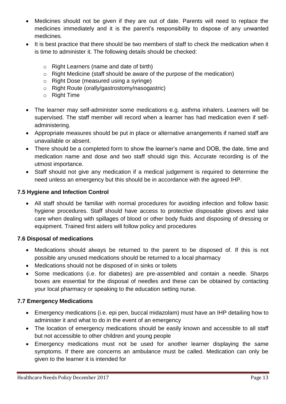- Medicines should not be given if they are out of date. Parents will need to replace the medicines immediately and it is the parent's responsibility to dispose of any unwanted medicines.
- It is best practice that there should be two members of staff to check the medication when it is time to administer it. The following details should be checked:
	- o Right Learners (name and date of birth)
	- o Right Medicine (staff should be aware of the purpose of the medication)
	- o Right Dose (measured using a syringe)
	- o Right Route (orally/gastrostomy/nasogastric)
	- o Right Time
- The learner may self-administer some medications e.g. asthma inhalers. Learners will be supervised. The staff member will record when a learner has had medication even if selfadministering.
- Appropriate measures should be put in place or alternative arrangements if named staff are unavailable or absent.
- There should be a completed form to show the learner's name and DOB, the date, time and medication name and dose and two staff should sign this. Accurate recording is of the utmost importance.
- Staff should not give any medication if a medical judgement is required to determine the need unless an emergency but this should be in accordance with the agreed IHP.

## **7.5 Hygiene and Infection Control**

 All staff should be familiar with normal procedures for avoiding infection and follow basic hygiene procedures. Staff should have access to protective disposable gloves and take care when dealing with spillages of blood or other body fluids and disposing of dressing or equipment. Trained first aiders will follow policy and procedures

## **7.6 Disposal of medications**

- Medications should always be returned to the parent to be disposed of. If this is not possible any unused medications should be returned to a local pharmacy
- Medications should not be disposed of in sinks or toilets
- Some medications (i.e. for diabetes) are pre-assembled and contain a needle. Sharps boxes are essential for the disposal of needles and these can be obtained by contacting your local pharmacy or speaking to the education setting nurse.

## **7.7 Emergency Medications**

- Emergency medications (i.e. epi pen, buccal midazolam) must have an IHP detailing how to administer it and what to do in the event of an emergency
- The location of emergency medications should be easily known and accessible to all staff but not accessible to other children and young people
- Emergency medications must not be used for another learner displaying the same symptoms. If there are concerns an ambulance must be called. Medication can only be given to the learner it is intended for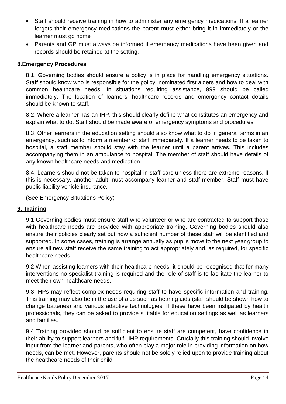- Staff should receive training in how to administer any emergency medications. If a learner forgets their emergency medications the parent must either bring it in immediately or the learner must go home
- Parents and GP must always be informed if emergency medications have been given and records should be retained at the setting.

# **8.Emergency Procedures**

8.1. Governing bodies should ensure a policy is in place for handling emergency situations. Staff should know who is responsible for the policy, nominated first aiders and how to deal with common healthcare needs. In situations requiring assistance, 999 should be called immediately. The location of learners' healthcare records and emergency contact details should be known to staff.

8.2. Where a learner has an IHP, this should clearly define what constitutes an emergency and explain what to do. Staff should be made aware of emergency symptoms and procedures.

8.3. Other learners in the education setting should also know what to do in general terms in an emergency, such as to inform a member of staff immediately. If a learner needs to be taken to hospital, a staff member should stay with the learner until a parent arrives. This includes accompanying them in an ambulance to hospital. The member of staff should have details of any known healthcare needs and medication.

8.4. Learners should not be taken to hospital in staff cars unless there are extreme reasons. If this is necessary, another adult must accompany learner and staff member. Staff must have public liability vehicle insurance.

(See Emergency Situations Policy)

# **9. Training**

9.1 Governing bodies must ensure staff who volunteer or who are contracted to support those with healthcare needs are provided with appropriate training. Governing bodies should also ensure their policies clearly set out how a sufficient number of these staff will be identified and supported. In some cases, training is arrange annually as pupils move to the next year group to ensure all new staff receive the same training to act appropriately and, as required, for specific healthcare needs.

9.2 When assisting learners with their healthcare needs, it should be recognised that for many interventions no specialist training is required and the role of staff is to facilitate the learner to meet their own healthcare needs.

9.3 IHPs may reflect complex needs requiring staff to have specific information and training. This training may also be in the use of aids such as hearing aids (staff should be shown how to change batteries) and various adaptive technologies. If these have been instigated by health professionals, they can be asked to provide suitable for education settings as well as learners and families.

9.4 Training provided should be sufficient to ensure staff are competent, have confidence in their ability to support learners and fulfil IHP requirements. Crucially this training should involve input from the learner and parents, who often play a major role in providing information on how needs, can be met. However, parents should not be solely relied upon to provide training about the healthcare needs of their child.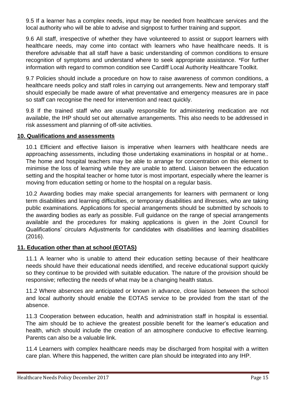9.5 If a learner has a complex needs, input may be needed from healthcare services and the local authority who will be able to advise and signpost to further training and support.

9.6 All staff, irrespective of whether they have volunteered to assist or support learners with healthcare needs, may come into contact with learners who have healthcare needs. It is therefore advisable that all staff have a basic understanding of common conditions to ensure recognition of symptoms and understand where to seek appropriate assistance. \*For further information with regard to common condition see Cardiff Local Authority Healthcare Toolkit.

9.7 Policies should include a procedure on how to raise awareness of common conditions, a healthcare needs policy and staff roles in carrying out arrangements. New and temporary staff should especially be made aware of what preventative and emergency measures are in pace so staff can recognise the need for intervention and react quickly.

9.8 If the trained staff who are usually responsible for administering medication are not available, the IHP should set out alternative arrangements. This also needs to be addressed in risk assessment and planning of off-site activities.

#### **10. Qualifications and assessments**

10.1 Efficient and effective liaison is imperative when learners with healthcare needs are approaching assessments, including those undertaking examinations in hospital or at home.. The home and hospital teachers may be able to arrange for concentration on this element to minimise the loss of learning while they are unable to attend. Liaison between the education setting and the hospital teacher or home tutor is most important, especially where the learner is moving from education setting or home to the hospital on a regular basis.

10.2 Awarding bodies may make special arrangements for learners with permanent or long term disabilities and learning difficulties, or temporary disabilities and illnesses, who are taking public examinations. Applications for special arrangements should be submitted by schools to the awarding bodies as early as possible. Full guidance on the range of special arrangements available and the procedures for making applications is given in the Joint Council for Qualifications' circulars Adjustments for candidates with disabilities and learning disabilities (2016).

## **11. Education other than at school (EOTAS)**

11.1 A learner who is unable to attend their education setting because of their healthcare needs should have their educational needs identified, and receive educational support quickly so they continue to be provided with suitable education. The nature of the provision should be responsive; reflecting the needs of what may be a changing health status.

11.2 Where absences are anticipated or known in advance, close liaison between the school and local authority should enable the EOTAS service to be provided from the start of the absence.

11.3 Cooperation between education, health and administration staff in hospital is essential. The aim should be to achieve the greatest possible benefit for the learner's education and health, which should include the creation of an atmosphere conducive to effective learning. Parents can also be a valuable link.

11.4 Learners with complex healthcare needs may be discharged from hospital with a written care plan. Where this happened, the written care plan should be integrated into any IHP.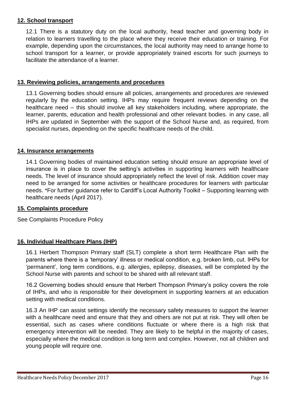#### **12. School transport**

12.1 There is a statutory duty on the local authority, head teacher and governing body in relation to learners travelling to the place where they receive their education or training. For example, depending upon the circumstances, the local authority may need to arrange home to school transport for a learner, or provide appropriately trained escorts for such journeys to facilitate the attendance of a learner.

#### **13. Reviewing policies, arrangements and procedures**

13.1 Governing bodies should ensure all policies, arrangements and procedures are reviewed regularly by the education setting. IHPs may require frequent reviews depending on the healthcare need – this should involve all key stakeholders including, where appropriate, the learner, parents, education and health professional and other relevant bodies. in any case, all IHPs are updated in September with the support of the School Nurse and, as required, from specialist nurses, depending on the specific healthcare needs of the child.

#### **14. Insurance arrangements**

14.1 Governing bodies of maintained education setting should ensure an appropriate level of insurance is in place to cover the setting's activities in supporting learners with healthcare needs. The level of insurance should appropriately reflect the level of risk. Addition cover may need to be arranged for some activities or healthcare procedures for learners with particular needs. \*For further guidance refer to Cardiff's Local Authority Toolkit – Supporting learning with healthcare needs (April 2017).

#### **15. Complaints procedure**

See Complaints Procedure Policy

## **16. Individual Healthcare Plans (IHP)**

16.1 Herbert Thompson Primary staff (SLT) complete a short term Healthcare Plan with the parents where there is a 'temporary' illness or medical condition, e.g. broken limb, cut. IHPs for 'permanent', long term conditions, e.g. allergies, epilepsy, diseases, will be completed by the School Nurse with parents and school to be shared with all relevant staff.

16.2 Governing bodies should ensure that Herbert Thompson Primary's policy covers the role of IHPs, and who is responsible for their development in supporting learners at an education setting with medical conditions.

16.3 An IHP can assist settings identify the necessary safety measures to support the learner with a healthcare need and ensure that they and others are not put at risk. They will often be essential, such as cases where conditions fluctuate or where there is a high risk that emergency intervention will be needed. They are likely to be helpful in the majority of cases, especially where the medical condition is long term and complex. However, not all children and young people will require one.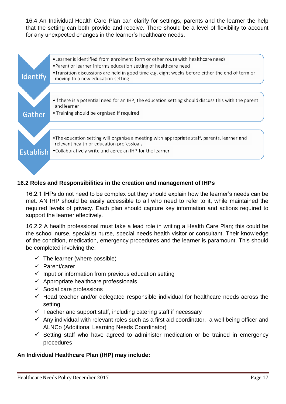16.4 An Individual Health Care Plan can clarify for settings, parents and the learner the help that the setting can both provide and receive. There should be a level of flexibility to account for any unexpected changes in the learner's healthcare needs.



## **16.2 Roles and Responsibilities in the creation and management of IHPs**

16.2.1 IHPs do not need to be complex but they should explain how the learner's needs can be met. AN IHP should be easily accessible to all who need to refer to it, while maintained the required levels of privacy. Each plan should capture key information and actions required to support the learner effectively.

16.2.2 A health professional must take a lead role in writing a Health Care Plan; this could be the school nurse, specialist nurse, special needs health visitor or consultant. Their knowledge of the condition, medication, emergency procedures and the learner is paramount. This should be completed involving the:

- $\checkmark$  The learner (where possible)
- $\checkmark$  Parent/carer
- $\checkmark$  Input or information from previous education setting
- $\checkmark$  Appropriate healthcare professionals
- $\checkmark$  Social care professions
- $\checkmark$  Head teacher and/or delegated responsible individual for healthcare needs across the setting
- $\checkmark$  Teacher and support staff, including catering staff if necessary
- $\checkmark$  Any individual with relevant roles such as a first aid coordinator, a well being officer and ALNCo (Additional Learning Needs Coordinator)
- $\checkmark$  Setting staff who have agreed to administer medication or be trained in emergency procedures

## **An Individual Healthcare Plan (IHP) may include:**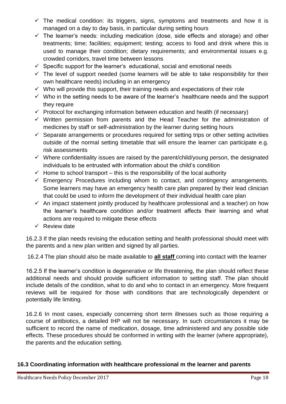- $\checkmark$  The medical condition: its triggers, signs, symptoms and treatments and how it is managed on a day to day basis, in particular during setting hours
- $\checkmark$  The learner's needs: including medication (dose, side effects and storage) and other treatments; time; facilities; equipment; testing; access to food and drink where this is used to manage their condition; dietary requirements; and environmental issues e.g. crowded corridors, travel time between lessons
- $\checkmark$  Specific support for the learner's educational, social and emotional needs
- $\checkmark$  The level of support needed (some learners will be able to take responsibility for their own healthcare needs) including in an emergency
- $\checkmark$  Who will provide this support, their training needs and expectations of their role
- $\checkmark$  Who in the setting needs to be aware of the learner's healthcare needs and the support they require
- $\checkmark$  Protocol for exchanging information between education and health (if necessary)
- $\checkmark$  Written permission from parents and the Head Teacher for the administration of medicines by staff or self-administration by the learner during setting hours
- $\checkmark$  Separate arrangements or procedures required for setting trips or other setting activities outside of the normal setting timetable that will ensure the learner can participate e.g. risk assessments
- $\checkmark$  Where confidentiality issues are raised by the parent/child/young person, the designated individuals to be entrusted with information about the child's condition
- $\checkmark$  Home to school transport this is the responsibility of the local authority
- $\checkmark$  Emergency Procedures including whom to contact, and contingency arrangements. Some learners may have an emergency health care plan prepared by their lead clinician that could be used to inform the development of their individual health care plan
- $\checkmark$  An impact statement jointly produced by healthcare professional and a teacher) on how the learner's healthcare condition and/or treatment affects their learning and what actions are required to mitigate these effects
- $\checkmark$  Review date

16.2.3 If the plan needs revising the education setting and health professional should meet with the parents and a new plan written and signed by all parties.

16.2.4 The plan should also be made available to **all staff** coming into contact with the learner

16.2.5 If the learner's condition is degenerative or life threatening, the plan should reflect these additional needs and should provide sufficient information to setting staff. The plan should include details of the condition, what to do and who to contact in an emergency. More frequent reviews will be required for those with conditions that are technologically dependent or potentially life limiting.

16.2.6 In most cases, especially concerning short term illnesses such as those requiring a course of antibiotics, a detailed IHP will not be necessary. In such circumstances it may be sufficient to record the name of medication, dosage, time administered and any possible side effects. These procedures should be conformed in writing with the learner (where appropriate), the parents and the education setting.

## **16.3 Coordinating information with healthcare professional m the learner and parents**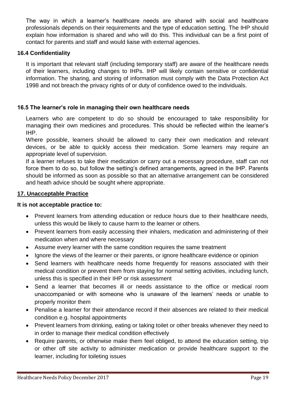The way in which a learner's healthcare needs are shared with social and healthcare professionals depends on their requirements and the type of education setting. The IHP should explain how information is shared and who will do this. This individual can be a first point of contact for parents and staff and would liaise with external agencies.

#### **16.4 Confidentiality**

It is important that relevant staff (including temporary staff) are aware of the healthcare needs of their learners, including changes to IHPs. IHP will likely contain sensitive or confidential information. The sharing, and storing of information must comply with the Data Protection Act 1998 and not breach the privacy rights of or duty of confidence owed to the individuals.

#### **16.5 The learner's role in managing their own healthcare needs**

Learners who are competent to do so should be encouraged to take responsibility for managing their own medicines and procedures. This should be reflected within the learner's IHP.

Where possible, learners should be allowed to carry their own medication and relevant devices, or be able to quickly access their medication. Some learners may require an appropriate level of supervision.

If a learner refuses to take their medication or carry out a necessary procedure, staff can not force them to do so, but follow the setting's defined arrangements, agreed in the IHP. Parents should be informed as soon as possible so that an alternative arrangement can be considered and heath advice should be sought where appropriate.

#### **17. Unacceptable Practice**

#### **It is not acceptable practice to:**

- Prevent learners from attending education or reduce hours due to their healthcare needs, unless this would be likely to cause harm to the learner or others.
- Prevent learners from easily accessing their inhalers, medication and administering of their medication when and where necessary
- Assume every learner with the same condition requires the same treatment
- Ignore the views of the learner or their parents, or ignore healthcare evidence or opinion
- Send learners with healthcare needs home frequently for reasons associated with their medical condition or prevent them from staying for normal setting activities, including lunch, unless this is specified in their IHP or risk assessment
- Send a learner that becomes ill or needs assistance to the office or medical room unaccompanied or with someone who is unaware of the learners' needs or unable to properly monitor them
- Penalise a learner for their attendance record if their absences are related to their medical condition e.g. hospital appointments
- Prevent learners from drinking, eating or taking toilet or other breaks whenever they need to in order to manage their medical condition effectively
- Require parents, or otherwise make them feel obliged, to attend the education setting, trip or other off site activity to administer medication or provide healthcare support to the learner, including for toileting issues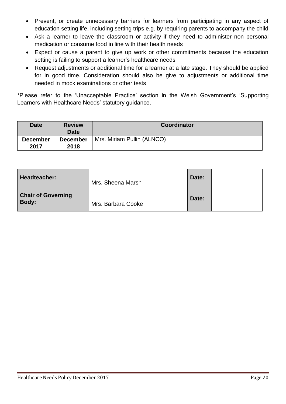- Prevent, or create unnecessary barriers for learners from participating in any aspect of education setting life, including setting trips e.g. by requiring parents to accompany the child
- Ask a learner to leave the classroom or activity if they need to administer non personal medication or consume food in line with their health needs
- Expect or cause a parent to give up work or other commitments because the education setting is failing to support a learner's healthcare needs
- Request adjustments or additional time for a learner at a late stage. They should be applied for in good time. Consideration should also be give to adjustments or additional time needed in mock examinations or other tests

\*Please refer to the 'Unacceptable Practice' section in the Welsh Government's 'Supporting Learners with Healthcare Needs' statutory guidance.

| <b>Date</b>             | <b>Review</b><br><b>Date</b> | <b>Coordinator</b>         |
|-------------------------|------------------------------|----------------------------|
| <b>December</b><br>2017 | <b>December</b><br>2018      | Mrs. Miriam Pullin (ALNCO) |

| Headteacher:                              | Mrs. Sheena Marsh  | Date: |  |
|-------------------------------------------|--------------------|-------|--|
| <b>Chair of Governing</b><br><b>Body:</b> | Mrs. Barbara Cooke | Date: |  |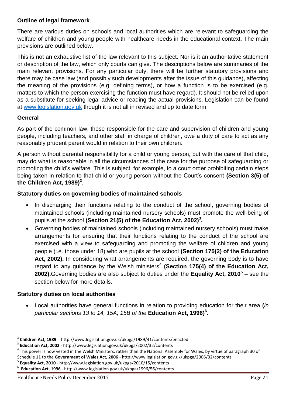#### **Outline of legal framework**

There are various duties on schools and local authorities which are relevant to safeguarding the welfare of children and young people with healthcare needs in the educational context. The main provisions are outlined below.

This is not an exhaustive list of the law relevant to this subject. Nor is it an authoritative statement or description of the law, which only courts can give. The descriptions below are summaries of the main relevant provisions. For any particular duty, there will be further statutory provisions and there may be case law (and possibly such developments after the issue of this guidance), affecting the meaning of the provisions (e.g. defining terms), or how a function is to be exercised (e.g. matters to which the person exercising the function must have regard). It should not be relied upon as a substitute for seeking legal advice or reading the actual provisions. Legislation can be found at [www.legislation.gov.uk](http://www.legislation.gov.uk/) though it is not all in revised and up to date form.

#### **General**

**.** 

As part of the common law, those responsible for the care and supervision of children and young people, including teachers, and other staff in charge of children, owe a duty of care to act as any reasonably prudent parent would in relation to their own children.

A person without parental responsibility for a child or young person, but with the care of that child, may do what is reasonable in all the circumstances of the case for the purpose of safeguarding or promoting the child's welfare. This is subject, for example, to a court order prohibiting certain steps being taken in relation to that child or young person without the Court's consent **(Section 3(5) of the Children Act, 1989)<sup>2</sup>** .

#### **Statutory duties on governing bodies of maintained schools**

- In discharging their functions relating to the conduct of the school, governing bodies of maintained schools (including maintained nursery schools) must promote the well-being of pupils at the school **(Section 21(5) of the Education Act, 2002)<sup>3</sup> .**
- Governing bodies of maintained schools (including maintained nursery schools) must make arrangements for ensuring that their functions relating to the conduct of the school are exercised with a view to safeguarding and promoting the welfare of children and young people (i.e. those under 18) who are pupils at the school **(Section 175(2) of the Education Act, 2002).** In considering what arrangements are required, the governing body is to have regard to any guidance by the Welsh ministers<sup>4</sup> (Section 175(4) of the Education Act, **2002).**Governing bodies are also subject to duties under the **Equality Act, 2010<sup>5</sup> –** see the section below for more details.

## **Statutory duties on local authorities**

 Local authorities have general functions in relation to providing education for their area **(***in particular sections 13 to 14, 15A, 15B of the* **Education Act, 1996)<sup>6</sup> .**

Healthcare Needs Policy December 2017 Page 21

<sup>2</sup> **Children Act, 1989** - http://www.legislation.gov.uk/ukpga/1989/41/contents/enacted

<sup>3</sup> **Education Act, 2002** - http://www.legislation.gov.uk/ukpga/2002/32/contents

<sup>&</sup>lt;sup>4</sup> This power is now vested in the Welsh Ministers, rather than the National Assembly for Wales, by virtue of paragraph 30 of Schedule 11 to the **Government of Wales Act, 2006** - http://www.legislation.gov.uk/ukpga/2006/32/contents

<sup>5</sup> **Equality Act, 2010** - http://www.legislation.gov.uk/ukpga/2010/15/contents

<sup>6</sup> **Education Act, 1996** - http://www.legislation.gov.uk/ukpga/1996/56/contents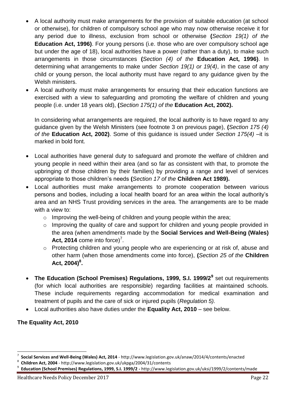- A local authority must make arrangements for the provision of suitable education (at school or otherwise), for children of compulsory school age who may now otherwise receive it for any period due to illness, exclusion from school or otherwise **(***Section 19(1) of the*  **Education Act, 1996)**. For young persons (i.e. those who are over compulsory school age but under the age of 18), local authorities have a power (rather than a duty), to make such arrangements in those circumstances **(***Section (4) of the* **Education Act, 1996)**. In determining what arrangements to make under *Section 19(1) or 19(4)*, in the case of any child or young person, the local authority must have regard to any guidance given by the Welsh ministers.
- A local authority must make arrangements for ensuring that their education functions are exercised with a view to safeguarding and promoting the welfare of children and young people (i.e. under 18 years old), **(***Section 175(1) of the* **Education Act, 2002).**

In considering what arrangements are required, the local authority is to have regard to any guidance given by the Welsh Ministers (see footnote 3 on previous page), **(***Section 175 (4) of the* **Education Act, 2002)**. Some of this guidance is issued under *Section 175(4)* –it is marked in bold font.

- Local authorities have general duty to safeguard and promote the welfare of children and young people in need within their area (and so far as consistent with that, to promote the upbringing of those children by their families) by providing a range and level of services appropriate to those children's needs **(***Section 17 of the* **Children Act 1989).**
- Local authorities must make arrangements to promote cooperation between various persons and bodies, including a local health board for an area within the local authority's area and an NHS Trust providing services in the area. The arrangements are to be made with a view to:
	- o Improving the well-being of children and young people within the area;
	- o Improving the quality of care and support for children and young people provided in the area (when amendments made by the **Social Services and Well-Being (Wales)**  Act, 2014 come into force)<sup>7</sup>.
	- o Protecting children and young people who are experiencing or at risk of, abuse and other harm (when those amendments come into force), **(***Section 25 of the* **Children Act, 2004)<sup>8</sup> .**
- **The Education (School Premises) Regulations, 1999, S.I. 1999/2<sup>9</sup>** set out requirements (for which local authorities are responsible) regarding facilities at maintained schools. These include requirements regarding accommodation for medical examination and treatment of pupils and the care of sick or injured pupils (*Regulation 5).*
- Local authorities also have duties under the **Equality Act, 2010**  see below.

## **The Equality Act, 2010**

 $\overline{a}$ 

<sup>7</sup> **Social Services and Well-Being (Wales) Act, 2014** - http://www.legislation.gov.uk/anaw/2014/4/contents/enacted

<sup>8</sup> **Children Act, 2004** - http://www.legislation.gov.uk/ukpga/2004/31/contents

<sup>9</sup> **Education (School Premises) Regulations, 1999, S.I. 1999/2 -** http://www.legislation.gov.uk/uksi/1999/2/contents/made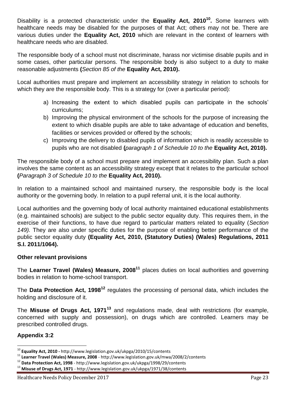Disability is a protected characteristic under the **Equality Act, 2010<sup>10</sup> .** Some learners with healthcare needs may be disabled for the purposes of that Act; others may not be. There are various duties under the **Equality Act, 2010** which are relevant in the context of learners with healthcare needs who are disabled.

The responsible body of a school must not discriminate, harass nor victimise disable pupils and in some cases, other particular persons. The responsible body is also subject to a duty to make reasonable adjustments **(***Section 85 of the* **Equality Act, 2010).**

Local authorities must prepare and implement an accessibility strategy in relation to schools for which they are the responsible body. This is a strategy for (over a particular period):

- a) Increasing the extent to which disabled pupils can participate in the schools' curriculums;
- b) Improving the physical environment of the schools for the purpose of increasing the extent to which disable pupils are able to take advantage of education and benefits, facilities or services provided or offered by the schools;
- c) Improving the delivery to disabled pupils of information which is readily accessible to pupils who are not disabled **(***paragraph 1 of Schedule 10 to the* **Equality Act, 2010).**

The responsible body of a school must prepare and implement an accessibility plan. Such a plan involves the same content as an accessibility strategy except that it relates to the particular school **(***Paragraph 3 of Schedule 10 to the* **Equality Act, 2010).**

In relation to a maintained school and maintained nursery, the responsible body is the local authority or the governing body. In relation to a pupil referral unit, it is the local authority.

Local authorities and the governing body of local authority maintained educational establishments (e.g. maintained schools) are subject to the public sector equality duty. This requires them, in the exercise of their functions, to have due regard to particular matters related to equality (*Section 149).* They are also under specific duties for the purpose of enabling better performance of the public sector equality duty **(Equality Act, 2010, (Statutory Duties) (Wales) Regulations, 2011 S.I. 2011/1064).**

## **Other relevant provisions**

The **Learner Travel (Wales) Measure, 2008<sup>11</sup>** places duties on local authorities and governing bodies in relation to home-school transport.

The **Data Protection Act, 1998<sup>12</sup>** regulates the processing of personal data, which includes the holding and disclosure of it.

The **Misuse of Drugs Act, 1971<sup>13</sup>** and regulations made, deal with restrictions (for example, concerned with supply and possession), on drugs which are controlled. Learners may be prescribed controlled drugs.

# **Appendix 3:2**

**<sup>.</sup>** <sup>10</sup> **Equality Act, 2010 -** http://www.legislation.gov.uk/ukpga/2010/15/contents

<sup>11</sup> **Learner Travel (Wales) Measure, 2008** - http://www.legislation.gov.uk/mwa/2008/2/contents

<sup>12</sup> **Data Protection Act, 1998** - http://www.legislation.gov.uk/ukpga/1998/29/contents

<sup>13</sup> **Misuse of Drugs Act, 1971** - http://www.legislation.gov.uk/ukpga/1971/38/contents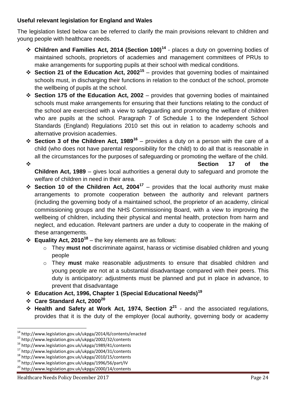## **Useful relevant legislation for England and Wales**

The legislation listed below can be referred to clarify the main provisions relevant to children and young people with healthcare needs.

- **Children and Families Act, 2014 (Section 100)<sup>14</sup>** places a duty on governing bodies of maintained schools, proprietors of academies and management committees of PRUs to make arrangements for supporting pupils at their school with medical conditions.
- **<sup>❖</sup> Section 21 of the Education Act, 2002<sup>15</sup> provides that governing bodies of maintained** schools must, in discharging their functions in relation to the conduct of the school, promote the wellbeing of pupils at the school.
- **Section 175 of the Education Act, 2002**  provides that governing bodies of maintained schools must make arrangements for ensuring that their functions relating to the conduct of the school are exercised with a view to safeguarding and promoting the welfare of children who are pupils at the school. Paragraph 7 of Schedule 1 to the Independent School Standards (England) Regulations 2010 set this out in relation to academy schools and alternative provision academies.
- **Section 3 of the Children Act, 1989<sup>16</sup>** provides a duty on a person with the care of a child (who does not have parental responsibility for the child) to do all that is reasonable in all the circumstances for the purposes of safeguarding or promoting the welfare of the child.

**Example 2** of the  $\sim$  **Section 17** of the **Children Act, 1989** – gives local authorities a general duty to safeguard and promote the welfare of children in need in their area.

- $\div$  Section 10 of the Children Act, 2004<sup>17</sup> provides that the local authority must make arrangements to promote cooperation between the authority and relevant partners (including the governing body of a maintained school, the proprietor of an academy, clinical commissioning groups and the NHS Commissioning Board, with a view to improving the wellbeing of children, including their physical and mental health, protection from harm and neglect, and education. Relevant partners are under a duty to cooperate in the making of these arrangements.
- **Equality Act, 2010<sup>18</sup>** the key elements are as follows:
	- o They **must not** discriminate against, harass or victimise disabled children and young people
	- o They **must** make reasonable adjustments to ensure that disabled children and young people are not at a substantial disadvantage compared with their peers. This duty is anticipatory: adjustments must be planned and put in place in advance, to prevent that disadvantage
- **Education Act, 1996, Chapter 1 (Special Educational Needs)<sup>19</sup>**
- **Care Standard Act, 2000<sup>20</sup>**
- **Health and Safety at Work Act, 1974, Section 2<sup>21</sup>** and the associated regulations, provides that it is the duty of the employer (local authority, governing body or academy

<sup>1</sup> <sup>14</sup> http://www.legislation.gov.uk/ukpga/2014/6/contents/enacted

<sup>15</sup> http://www.legislation.gov.uk/ukpga/2002/32/contents

<sup>16</sup> http://www.legislation.gov.uk/ukpga/1989/41/contents

<sup>17</sup> http://www.legislation.gov.uk/ukpga/2004/31/contents

<sup>18</sup> http://www.legislation.gov.uk/ukpga/2010/15/contents

<sup>19</sup> http://www.legislation.gov.uk/ukpga/1996/56/part/IV

<sup>20</sup> http://www.legislation.gov.uk/ukpga/2000/14/contents